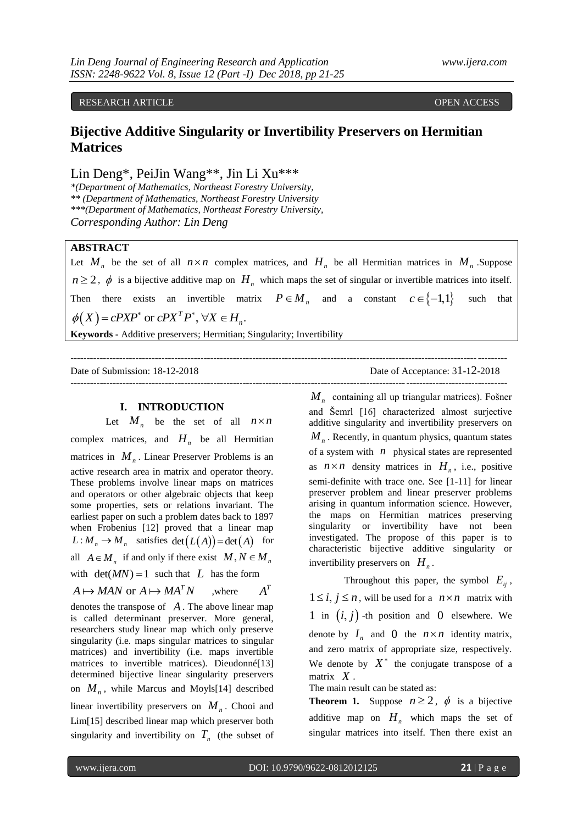# RESEARCH ARTICLE **CONSERVERS** OPEN ACCESS **OPEN ACCESS**

# **Bijective Additive Singularity or Invertibility Preservers on Hermitian Matrices**

Lin Deng\*, PeiJin Wang\*\*, Jin Li Xu\*\*\*

*\*(Department of Mathematics, Northeast Forestry University, \*\* (Department of Mathematics, Northeast Forestry University \*\*\*(Department of Mathematics, Northeast Forestry University, Corresponding Author: Lin Deng*

## **ABSTRACT**

Let  $M_n$  be the set of all  $n \times n$  complex matrices, and  $H_n$  be all Hermitian matrices in  $M_n$ . Suppose  $n \geq 2$ ,  $\phi$  is a bijective additive map on  $H_n$  which maps the set of singular or invertible matrices into itself. Then there exists an invertible matrix  $P \in M_n$  and a constant  $c \in \{-1,1\}$ such that Then there exists an invertible matrix<br>  $\phi(X) = cPXP^*$  or  $cPX^T P^*$ ,  $\forall X \in H_n$ .

--------------------------------------------------------------------------------------------------------------------------------------

**--------------------------------------------------------------------------------------------------------------------------------------**

**Keywords -** Additive preservers; Hermitian; Singularity; Invertibility

Date of Submission: 18-12-2018 Date of Acceptance: 31-12-2018

## **I. INTRODUCTION**

Let  $M_n$  be the set of all  $n \times n$ complex matrices, and  $H_n$  be all Hermitian matrices in  $M_n$ . Linear Preserver Problems is an active research area in matrix and operator theory. These problems involve linear maps on matrices and operators or other algebraic objects that keep some properties, sets or relations invariant. The earliest paper on such a problem dates back to 1897 when Frobenius [12] proved that a linear map  $L: M_n \to M_n$  satisfies  $\det(L(A)) = \det(A)$  for all  $A \in M_n$  if and only if there exist  $M, N \in M_n$ with  $det(MN) = 1$  such that L has the form  $A \mapsto MAN$  or  $A \mapsto MA^T N$  where  $A<sup>T</sup>$ 

denotes the transpose of *A* . The above linear map is called determinant preserver. More general, researchers study linear map which only preserve singularity (i.e. maps singular matrices to singular matrices) and invertibility (i.e. maps invertible matrices to invertible matrices). Dieudonné[13] determined bijective linear singularity preservers on  $M_n$ , while Marcus and Moyls[14] described linear invertibility preservers on  $M_n$ . Chooi and Lim[15] described linear map which preserver both singularity and invertibility on  $T_n$  (the subset of

*M n* containing all up triangular matrices). Fošner and Šemrl [16] characterized almost surjective additive singularity and invertibility preservers on  $M<sub>n</sub>$ . Recently, in quantum physics, quantum states of a system with  $n$  physical states are represented as  $n \times n$  density matrices in  $H_n$ , i.e., positive semi-definite with trace one. See [1-11] for linear preserver problem and linear preserver problems arising in quantum information science. However, the maps on Hermitian matrices preserving singularity or invertibility have not been investigated. The propose of this paper is to characteristic bijective additive singularity or invertibility preservers on  $H_n$ .

Throughout this paper, the symbol  $E_{ij}$ ,  $1 \le i, j \le n$ , will be used for a  $n \times n$  matrix with 1 in  $(i, j)$  -th position and 0 elsewhere. We denote by  $I_n$  and 0 the  $n \times n$  identity matrix, and zero matrix of appropriate size, respectively. We denote by  $X^*$  the conjugate transpose of a matrix *X* .

The main result can be stated as:

**Theorem 1.** Suppose  $n \ge 2$ ,  $\phi$  is a bijective additive map on  $H_n$  which maps the set of singular matrices into itself. Then there exist an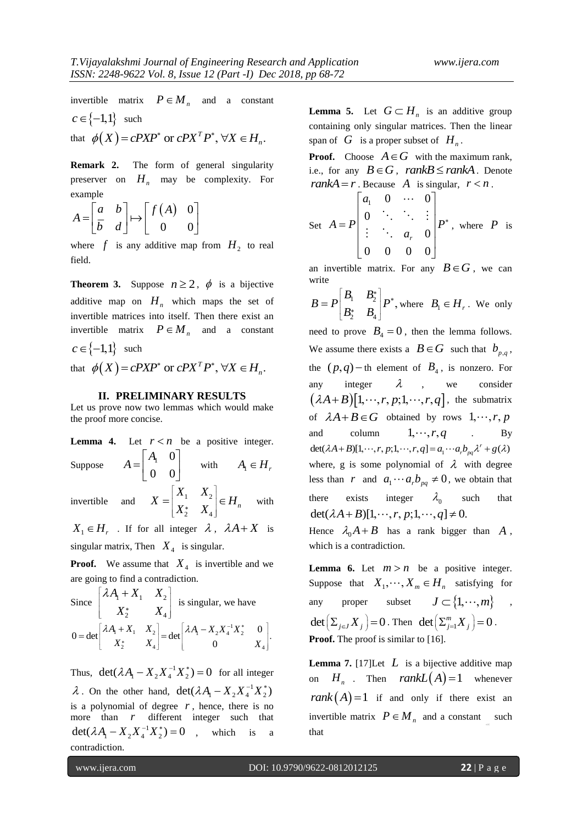invertible matrix  $P \in M_n$  and a constant  $c \in \{-1, 1\}$  such  $c \in \{-1, 1\}$  such<br>that  $\phi(X) = cPXP^*$  or  $cPX^T P^*$ ,  $\forall X \in H_n$ .

**Remark 2.** The form of general singularity preserver on  $H_n$  may be complexity. For example

$$
A = \begin{bmatrix} a & b \\ \overline{b} & d \end{bmatrix} \mapsto \begin{bmatrix} f(A) & 0 \\ 0 & 0 \end{bmatrix}
$$

where  $f$  is any additive map from  $H_2$  to real field.

**Theorem 3.** Suppose  $n \ge 2$ ,  $\phi$  is a bijective additive map on  $H_n$  which maps the set of invertible matrices into itself. Then there exist an invertible matrix  $P \in M_n$  and a constant  $c \in \{-1,1\}$  such  $c \in \{-1, 1\}$  such<br>that  $\phi(X) = cPXP^*$  or  $cPX^T P^*$ ,  $\forall X \in H_n$ .

#### **II. PRELIMINARY RESULTS**

Let us prove now two lemmas which would make the proof more concise.

**Lemma 4.** Let  $r < n$  be a positive integer. Suppose 1 0 0 0 *A A*  $A_1 \begin{bmatrix} A_1 & 0 \\ 0 & 0 \end{bmatrix}$  with  $A_1 \in H$ , invertible  $1 \quad \mathbf{A}_2$  $\begin{bmatrix} * & X_4 \end{bmatrix}$  $X_1$  *X*  $X = \begin{vmatrix} A_1 & A_2 \\ V_1 & V \end{vmatrix} \in H$  $\begin{bmatrix} X_1 & X_2 \ X_2^* & X_4 \end{bmatrix}$ e  $=\begin{vmatrix} A_1 & A_2 \\ \vdots & \vdots \\ A_n & A_n \end{vmatrix} \in H_n$  with

 $X_1 \in H_r$ . If for all integer  $\lambda$ ,  $\lambda A + X$  is singular matrix, Then  $X_4$  is singular.

**Proof.** We assume that  $X_4$  is invertible and we are going to find a contradiction.

Since 
$$
\begin{bmatrix} \lambda A_1 + X_1 & X_2 \\ X_2^* & X_4 \end{bmatrix}
$$
 is singular, we have  
 
$$
0 = \det \begin{bmatrix} \lambda A_1 + X_1 & X_2 \\ X_2^* & X_4 \end{bmatrix} = \det \begin{bmatrix} \lambda A_1 - X_2 X_4^{-1} X_2^* & 0 \\ 0 & X_4 \end{bmatrix}.
$$

Thus,  $\det(\lambda A_1 - X_2 X_4^{-1} X_2^*) = 0$  for all integer  $\lambda$ . On the other hand,  $\det(\lambda A_1 - X_2 X_4^{-1} X_2^*)$ is a polynomial of degree  $r$ , hence, there is no more than *r* different integer such that  $\det(\lambda A_1 - X_2 X_4^{-1} X_2^*) = 0$ , which is a contradiction.

**Lemma 5.** Let  $G \subset H_n$  is an additive group containing only singular matrices. Then the linear span of  $G$  is a proper subset of  $H_n$ .

**Proof.** Choose  $A \in G$  with the maximum rank, i.e., for any  $B \in G$ ,  $rankB \le rankA$ . Denote *rankA* = *r*. Because *A* is singular,  $r < n$ .

Set 
$$
A = P \begin{bmatrix} a_1 & 0 & \cdots & 0 \\ 0 & \ddots & \ddots & \vdots \\ \vdots & \ddots & a_r & 0 \\ 0 & 0 & 0 & 0 \end{bmatrix} P^*
$$
, where  $P$  is

an invertible matrix. For any  $B \in G$ , we can write

$$
B = P \begin{bmatrix} B_1 & B_2^* \\ B_2^* & B_4 \end{bmatrix} P^*, \text{ where } B_1 \in H_r. \text{ We only}
$$

need to prove  $B_4 = 0$ , then the lemma follows. We assume there exists a  $B \in G$  such that  $b_{p,q}$ , the  $(p, q)$  – th element of  $B_4$ , is nonzero. For any integer  $\lambda$ , we consider any integer  $\lambda$ , we consider<br> $(\lambda A + B)[1, \dots, r, p; 1, \dots, r, q]$ , the submatrix of  $\lambda A + B \in G$  obtained by rows  $1, \dots, r, p$ and column  $1, \cdots, r, q$ . By and column  $1, \dots, r, q$  By<br>det( $\lambda A + B$ )[1,  $\cdots, r, p; 1, \dots, r, q$ ] =  $a_1 \cdots a_r b_{pq} \lambda^r + g(\lambda)$ where, g is some polynomial of  $\lambda$  with degree less than r and  $a_1 \cdots a_r b_{pq} \neq 0$ , we obtain that there exists integer  $\lambda_0$ such that  $\det(\lambda A + B)[1, \cdots, r, p; 1, \cdots, q] \neq 0.$ 

Hence  $\lambda_0 A + B$  has a rank bigger than A, which is a contradiction.

**Lemma 6.** Let  $m > n$  be a positive integer. Suppose that  $X_1, \dots, X_m \in H_n$  satisfying for any proper subset  $J \subset \{1, \dots, m\}$ ,  $\det \left( \sum_{j \in J} X_j \right) = 0$ . Then  $\det \left( \sum_{j=1}^m X_j \right) = 0$ . **Proof.** The proof is similar to [16].

**Lemma 7.** [17] Let  $L$  is a bijective additive map on  $H_n$ . Then  $rankL(A)=1$  whenever  $rank(A)=1$  if and only if there exist an invertible matrix  $P \in M_n$  and a constant such *c 11111111111111111111111111111* that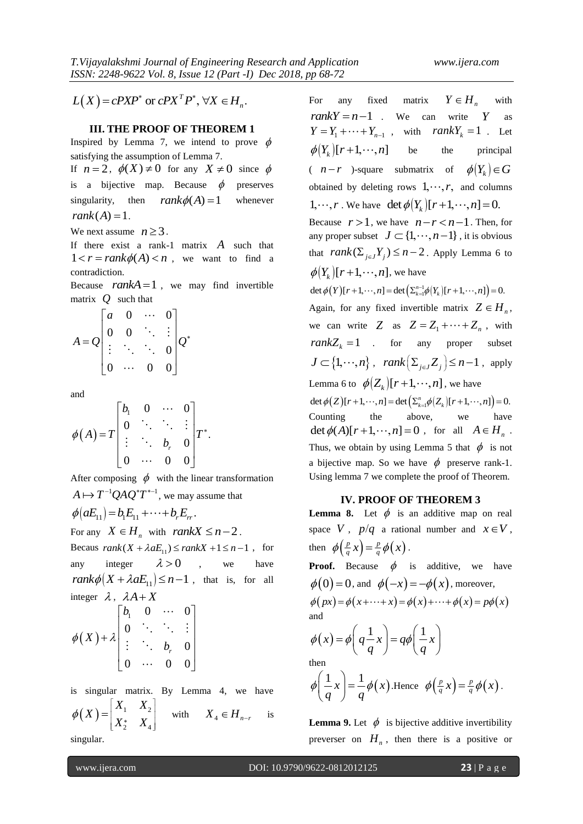$L(X) = cPXP^*$  or  $cPX^TP^*$ ,  $\forall X \in H_n$ .

## **III. THE PROOF OF THEOREM 1**

Inspired by Lemma 7, we intend to prove  $\phi$ satisfying the assumption of Lemma 7.

If  $n = 2$ ,  $\phi(X) \neq 0$  for any  $X \neq 0$  since  $\phi$ is a bijective map. Because  $\phi$ preserves singularity, then  $rank \phi(A) = 1$ whenever  $rank(A) = 1$ .

We next assume  $n \geq 3$ .

If there exist a rank-1 matrix *A* such that  $1 < r = rank \phi(A) < n$ , we want to find a contradiction.

Because  $rankA = 1$ , we may find invertible matrix *Q* such that

$$
A = Q \begin{bmatrix} a & 0 & \cdots & 0 \\ 0 & 0 & \ddots & \vdots \\ \vdots & \ddots & \ddots & 0 \\ 0 & \cdots & 0 & 0 \end{bmatrix} Q^*
$$

and

and  
\n
$$
\phi(A) = T \begin{bmatrix} b_1 & 0 & \cdots & 0 \\ 0 & \ddots & \ddots & \vdots \\ \vdots & \ddots & b_r & 0 \\ 0 & \cdots & 0 & 0 \end{bmatrix} T^*.
$$

After composing  $\phi$  with the linear transformation  $A \mapsto T^{-1}QAQ^*T^{*-1}$ , we may assume that  $\phi(aE_{11}) = b_1 E_{11} + \cdots + b_r E_r.$ For any  $X \in H_n$  with  $rankX \leq n-2$ . For any  $A \in H_n$  with  $rankA \le n-2$ .<br>Becaus  $rank(X + \lambda aE_{11}) \le rankX + 1 \le n-1$ , for any integer  $\lambda > 0$ , we have

 $rank\phi\left(X + \lambda aE_{11}\right) \leq n-1$ , that is, for all integer  $\lambda$ ,  $\lambda A + X$  $\begin{bmatrix} b_1 & 0 & \cdots & 0 \end{bmatrix}$ 

$$
\phi(X)+\lambda\begin{bmatrix}b_1 & 0 & \cdots & 0\\0 & \ddots & \ddots & \vdots\\ \vdots & \ddots & b_r & 0\\0 & \cdots & 0 & 0\end{bmatrix}
$$

is singular matrix. By Lemma 4, we have  $(X) = \begin{vmatrix} A_1 & A_2 \\ A_1 & A_2 \end{vmatrix}$ 2  $\Lambda_4$  $X_1$  *X*  $\phi(X) = \begin{bmatrix} X_1 & X_2 \\ X_2^* & X_4 \end{bmatrix}$  $=\begin{pmatrix} 1 & 1 & 1 \\ \mathbf{v} & \mathbf{v} \end{pmatrix}$  with  $X_4 \in H_{n-r}$  is

singular.

 $\Gamma(X) = cPXY'$  or  $cPX'P'$ ,  $\sqrt{x} \in H_n$ <br>
ITER PRODOI: OF THEOREM 11.<br>
Transfer and  $Y = H_1 + \cdots + T_{n-1}$ , with results  $Y = H_2 + \cdots + T_{n-1}$ , with  $r \cos \lambda Y = 1$ . Let<br>  $\ln(\lambda Y) = 1$ ,  $\lambda Y = 2$ ,  $\phi(X) = 0$  for any  $X = 0$  since  $\phi$ <br>  $\phi$  For any fixed matrix  $Y \in H$ <sub>n</sub> with  $rankY = n - 1$  We can write Y as  $Y = Y_1 + \cdots + Y_{n-1}$ , with *rankY<sub>k</sub>* = 1 . Let  $\phi(Y_k)[r+1,\cdots,n]$  be be the principal  $(n - r)$ -square submatrix of  $\phi(Y_k) \in G$ obtained by deleting rows  $1, \dots, r$ , and columns 1,  $\cdots$ , *r*. We have det  $\phi(Y_k)[r+1, \cdots, n] = 0$ . Because  $r > 1$ , we have  $n-r < n-1$ . Then, for any proper subset  $J \subset \{1, \dots, n-1\}$ , it is obvious that  $rank(\sum_{j \in J} Y_j) \leq n-2$ . Apply Lemma 6 to  $\phi(Y_k)[r+1, \cdots, n]$ , we have  $(Y)[r+1,\dots,n] = \det \left( \sum_{k=1}^{n-1} \phi(Y_k)[r+1,\dots,n] \right)$  $\phi(Y_k)[r+1, \dots, n]$ , we have<br>det  $\phi(Y)[r+1, \dots, n] = \det(\sum_{k=1}^{n-1} \phi(Y_k)[r+1, \dots, n]) = 0$ . Again, for any fixed invertible matrix  $Z \in H_n$ , we can write  $Z$  as  $Z = Z_1 + \cdots + Z_n$ , with  $rank Z_k = 1$  . for any proper subset  $J \subset \{1, \dots, n\}$ ,  $rank(\Sigma_{j \in J} Z_j) \leq n-1$ , apply Lemma 6 to  $\phi(Z_k)[r+1,\dots,n]$  , we have Lemma 6 to  $\phi(Z_k)[r+1, \dots, n]$ , we have<br>det  $\phi(Z)[r+1, \dots, n] = \det(\sum_{k=1}^n \phi(Z_k)[r+1, \dots, n]) = 0$ . Counting the above, we have  $\det \phi(A)[r+1, \dots, n] = 0$ , for all  $A \in H_n$ . Thus, we obtain by using Lemma 5 that  $\phi$  is not a bijective map. So we have  $\phi$  preserve rank-1. Using lemma 7 we complete the proof of Theorem.

#### **IV. PROOF OF THEOREM 3**

**Lemma 8.** Let  $\phi$  is an additive map on real space V,  $p/q$  a rational number and  $x \in V$ , then  $\phi\left(\frac{p}{q}x\right) = \frac{p}{q}\phi\left(x\right)$  $\phi\left(\frac{p}{q}x\right) = \frac{p}{q}\phi\left(x\right)$ .

**Proof.** Because  $\phi$  is additive, we have  $\phi(0) = 0$ , and  $\phi(-x) = -\phi(x)$ , moreover,  $\phi(px) = \phi(x + \cdots + x) = \phi(x) + \cdots + \phi(x) = p\phi(x)$ and  $f(x) = \phi \left( q \frac{1}{x} x \right) = q \phi \left( \frac{1}{x} x \right)$  $\left(\frac{1}{q}x\right) = q\phi\left(\frac{1}{q}\right)$ and<br>  $\phi(x) = \phi\left(q\frac{1}{q}x\right) = q\phi\left(\frac{1}{q}x\right)$ then

 $\left(\frac{1}{x}\right) = \frac{1}{x} \phi(x)$  $q^{\alpha}$ <sup> $\int$ </sup> $q$  $\phi\left(\frac{1}{a}x\right) = \frac{1}{a}\phi\left(\frac{1}{a}x\right)$  $(q)$ .Hence  $\phi\left(\frac{p}{q}x\right) = \frac{p}{q}\phi\left(x\right)$  $\phi\left(\frac{p}{q}x\right) = \frac{p}{q}\phi\left(x\right)$ .

**Lemma 9.** Let  $\phi$  is bijective additive invertibility preverser on  $H_n$ , then there is a positive or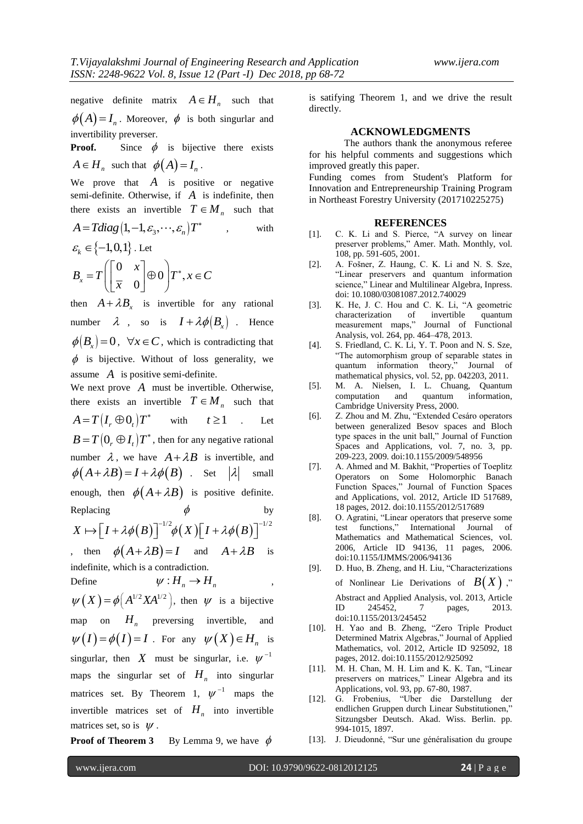negative definite matrix  $A \in H_n$  such that

 $\phi(A) = I_n$ . Moreover,  $\phi$  is both singurlar and invertibility preverser.

**Proof.** Since  $\phi$  is bijective there exists  $A \in H_n$  such that  $\phi(A) = I_n$ .

We prove that  $A$  is positive or negative semi-definite. Otherwise, if  $\overline{A}$  is indefinite, then there exists an invertible  $T \in M_n$  such that

$$
A = Tdiag(1, -1, \varepsilon_3, \cdots, \varepsilon_n)T^*
$$
, with

$$
\mathcal{E}_k \in \{-1, 0, 1\}.
$$
 Let  

$$
B_x = T \begin{bmatrix} 0 & x \\ \overline{x} & 0 \end{bmatrix} \oplus 0 \begin{bmatrix} T^*, x \in C \end{bmatrix}
$$

then  $A + \lambda B_x$  is invertible for any rational number  $\lambda$  , so is  $I + \lambda \phi(B_x)$  . Hence  $\phi(B_x) = 0$ ,  $\forall x \in C$ , which is contradicting that  $\phi$  is bijective. Without of loss generality, we assume *A* is positive semi-definite.

We next prove *A* must be invertible. Otherwise, there exists an invertible  $T \in M_n$  such that  $A = T(I_r \oplus 0_t)T^*$  with  $t \ge 1$ . Let  $B = T(0, \oplus I_t)T^*$ , then for any negative rational number  $\lambda$ , we have  $A + \lambda B$  is invertible, and  $\phi(A + \lambda B) = I + \lambda \phi(B)$  Set  $|\lambda|$  small enough, then  $\phi(A + \lambda B)$  is positive definite. Replacing  $\phi$ by Replacing  $\phi$  by<br>  $X \mapsto [I + \lambda \phi(B)]^{-1/2} \phi(X)[I + \lambda \phi(B)]^{-1/2}$ 

, then  $\phi(A + \lambda B) = I$  and  $A + \lambda B$  is indefinite, which is a contradiction.

Define 
$$
\psi: H_n \to H_n
$$
,

 $\psi(X) = \phi(A^{1/2} X A^{1/2}),$  then  $\psi$  is a bijective map on  $H_n$  preversing invertible, and  $\psi(I) = \phi(I) = I$ . For any  $\psi(X) \in H_n$  is singurlar, then X must be singurlar, i.e.  $\psi^{-1}$ maps the singurlar set of  $H_n$  into singurlar matrices set. By Theorem 1,  $\psi^{-1}$  maps the invertible matrices set of  $H_n$  into invertible matrices set, so is  $\psi$ .

**Proof of Theorem 3** By Lemma 9, we have  $\phi$ 

is satifying Theorem 1, and we drive the result directly.

#### **ACKNOWLEDGMENTS**

The authors thank the anonymous referee for his helpful comments and suggestions which improved greatly this paper.

Funding comes from Student's Platform for Innovation and Entrepreneurship Training Program in Northeast Forestry University (201710225275)

## **REFERENCES**

- [1]. C. K. Li and S. Pierce, "A survey on linear preserver problems," Amer. Math. Monthly, vol. 108, pp. 591-605, 2001.
- [2]. A. Fošner, Z. Haung, C. K. Li and N. S. Sze, "Linear preservers and quantum information science," Linear and Multilinear Algebra, Inpress. doi: 10.1080/03081087.2012.740029
- [3]. K. He, J. C. Hou and C. K. Li, "A geometric characterization of invertible quantum measurement maps," Journal of Functional Analysis, vol. 264, pp. 464–478, 2013.
- [4]. S. Friedland, C. K. Li, Y. T. Poon and N. S. Sze, "The automorphism group of separable states in quantum information theory," Journal of mathematical physics, vol. 52, pp. 042203, 2011.
- [5]. M. A. Nielsen, I. L. Chuang, Quantum computation and quantum Cambridge University Press, 2000.
- [6]. Z. Zhou and M. Zhu, "Extended Cesáro operators between generalized Besov spaces and Bloch type spaces in the unit ball," Journal of Function Spaces and Applications, vol. 7, no. 3, pp. 209-223, 2009. doi:10.1155/2009/548956
- [7]. A. Ahmed and M. Bakhit, "Properties of Toeplitz Operators on Some Holomorphic Banach Function Spaces," Journal of Function Spaces and Applications, vol. 2012, Article ID 517689, 18 pages, 2012. doi:10.1155/2012/517689
- [8]. O. Agratini, "Linear operators that preserve some test functions," International Journal of Mathematics and Mathematical Sciences, vol. 2006, Article ID 94136, 11 pages, 2006. doi:10.1155/IJMMS/2006/94136
- [9]. D. Huo, B. Zheng, and H. Liu, "Characterizations of Nonlinear Lie Derivations of  $B(X)$ ," Abstract and Applied Analysis, vol. 2013, Article ID 245452, 7 pages, 2013. doi:10.1155/2013/245452
- [10]. H. Yao and B. Zheng, "Zero Triple Product Determined Matrix Algebras," Journal of Applied Mathematics, vol. 2012, Article ID 925092, 18 pages, 2012. doi:10.1155/2012/925092
- [11]. M. H. Chan, M. H. Lim and K. K. Tan, "Linear preservers on matrices," Linear Algebra and its Applications, vol. 93, pp. 67-80, 1987.
- [12]. G. Frobenius, "Uber die Darstellung der endlichen Gruppen durch Linear Substitutionen," Sitzungsber Deutsch. Akad. Wiss. Berlin. pp. 994-1015, 1897.
- [13]. J. Dieudonné, "Sur une généralisation du groupe